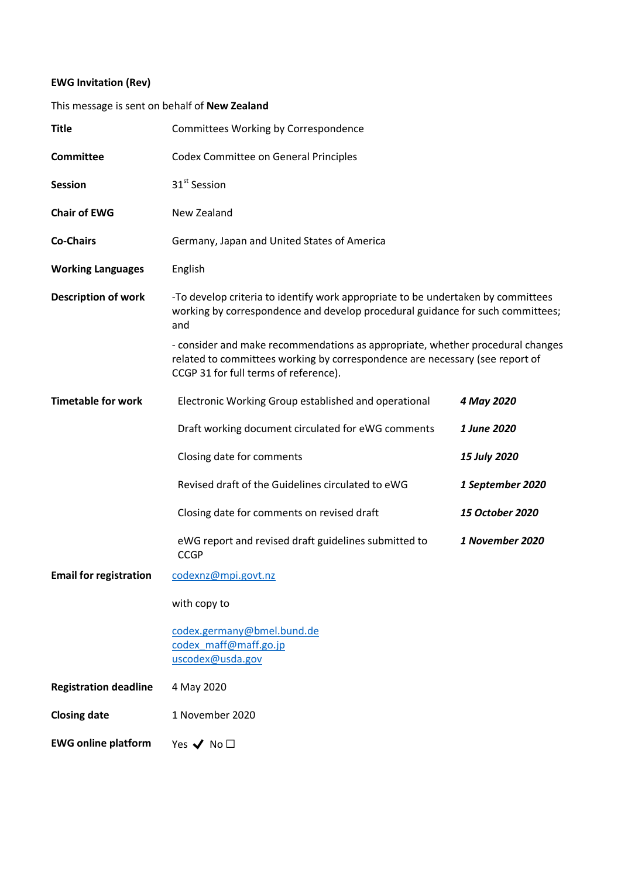## **EWG Invitation (Rev)**

## This message is sent on behalf of **New Zealand**

| <b>Title</b>                  | Committees Working by Correspondence                                                                                                                                                                                                                                                                                                                                                 |                  |
|-------------------------------|--------------------------------------------------------------------------------------------------------------------------------------------------------------------------------------------------------------------------------------------------------------------------------------------------------------------------------------------------------------------------------------|------------------|
| <b>Committee</b>              | <b>Codex Committee on General Principles</b>                                                                                                                                                                                                                                                                                                                                         |                  |
| <b>Session</b>                | 31 <sup>st</sup> Session                                                                                                                                                                                                                                                                                                                                                             |                  |
| <b>Chair of EWG</b>           | New Zealand                                                                                                                                                                                                                                                                                                                                                                          |                  |
| <b>Co-Chairs</b>              | Germany, Japan and United States of America                                                                                                                                                                                                                                                                                                                                          |                  |
| <b>Working Languages</b>      | English                                                                                                                                                                                                                                                                                                                                                                              |                  |
| <b>Description of work</b>    | -To develop criteria to identify work appropriate to be undertaken by committees<br>working by correspondence and develop procedural guidance for such committees;<br>and<br>- consider and make recommendations as appropriate, whether procedural changes<br>related to committees working by correspondence are necessary (see report of<br>CCGP 31 for full terms of reference). |                  |
|                               |                                                                                                                                                                                                                                                                                                                                                                                      |                  |
| <b>Timetable for work</b>     | Electronic Working Group established and operational                                                                                                                                                                                                                                                                                                                                 | 4 May 2020       |
|                               | Draft working document circulated for eWG comments                                                                                                                                                                                                                                                                                                                                   | 1 June 2020      |
|                               | Closing date for comments                                                                                                                                                                                                                                                                                                                                                            | 15 July 2020     |
|                               | Revised draft of the Guidelines circulated to eWG                                                                                                                                                                                                                                                                                                                                    | 1 September 2020 |
|                               | Closing date for comments on revised draft                                                                                                                                                                                                                                                                                                                                           | 15 October 2020  |
|                               | eWG report and revised draft guidelines submitted to<br><b>CCGP</b>                                                                                                                                                                                                                                                                                                                  | 1 November 2020  |
| <b>Email for registration</b> | codexnz@mpi.govt.nz                                                                                                                                                                                                                                                                                                                                                                  |                  |
|                               | with copy to                                                                                                                                                                                                                                                                                                                                                                         |                  |
|                               | codex.germany@bmel.bund.de<br>codex maff@maff.go.jp<br>uscodex@usda.gov                                                                                                                                                                                                                                                                                                              |                  |
| <b>Registration deadline</b>  | 4 May 2020                                                                                                                                                                                                                                                                                                                                                                           |                  |
| <b>Closing date</b>           | 1 November 2020                                                                                                                                                                                                                                                                                                                                                                      |                  |
| <b>EWG online platform</b>    | Yes $\blacktriangledown$ No $\square$                                                                                                                                                                                                                                                                                                                                                |                  |